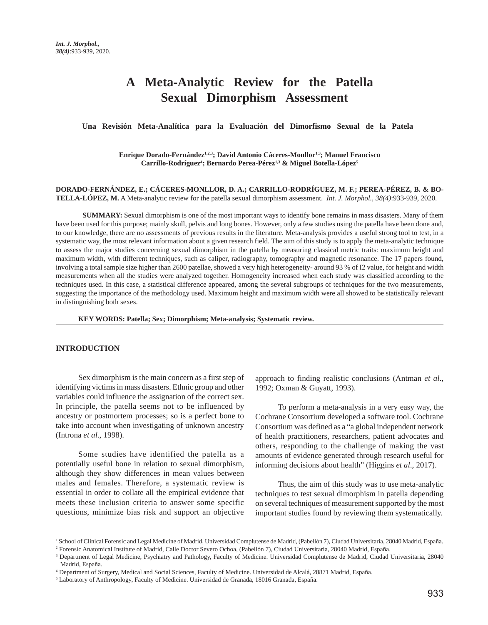# **A Meta-Analytic Review for the Patella Sexual Dimorphism Assessment**

 **Una Revisión Meta-Analítica para la Evaluación del Dimorfismo Sexual de la Patela**

**Enrique Dorado-Fernández1,2,3; David Antonio Cáceres-Monllor1,3; Manuel Francisco** Carrillo-Rodríguez<sup>4</sup>; Bernardo Perea-Pérez<sup>1,3</sup> & Miguel Botella-López<sup>5</sup>

**DORADO-FERNÁNDEZ, E.; CÁCERES-MONLLOR, D. A.; CARRILLO-RODRÍGUEZ, M. F.; PEREA-PÉREZ, B. & BO-TELLA-LÓPEZ, M.** A Meta-analytic review for the patella sexual dimorphism assessment. *Int. J. Morphol., 38(4)*:933-939, 2020.

 **SUMMARY:** Sexual dimorphism is one of the most important ways to identify bone remains in mass disasters. Many of them have been used for this purpose; mainly skull, pelvis and long bones. However, only a few studies using the patella have been done and, to our knowledge, there are no assessments of previous results in the literature. Meta-analysis provides a useful strong tool to test, in a systematic way, the most relevant information about a given research field. The aim of this study is to apply the meta-analytic technique to assess the major studies concerning sexual dimorphism in the patella by measuring classical metric traits: maximum height and maximum width, with different techniques, such as caliper, radiography, tomography and magnetic resonance. The 17 papers found, involving a total sample size higher than 2600 patellae, showed a very high heterogeneity- around 93 % of I2 value, for height and width measurements when all the studies were analyzed together. Homogeneity increased when each study was classified according to the techniques used. In this case, a statistical difference appeared, among the several subgroups of techniques for the two measurements, suggesting the importance of the methodology used. Maximum height and maximum width were all showed to be statistically relevant in distinguishing both sexes.

**KEY WORDS: Patella; Sex; Dimorphism; Meta-analysis; Systematic review.**

## **INTRODUCTION**

Sex dimorphism is the main concern as a first step of identifying victims in mass disasters. Ethnic group and other variables could influence the assignation of the correct sex. In principle, the patella seems not to be influenced by ancestry or postmortem processes; so is a perfect bone to take into account when investigating of unknown ancestry (Introna *et al*., 1998).

Some studies have identified the patella as a potentially useful bone in relation to sexual dimorphism, although they show differences in mean values between males and females. Therefore, a systematic review is essential in order to collate all the empirical evidence that meets these inclusion criteria to answer some specific questions, minimize bias risk and support an objective

approach to finding realistic conclusions (Antman *et al*., 1992; Oxman & Guyatt, 1993).

To perform a meta-analysis in a very easy way, the Cochrane Consortium developed a software tool. Cochrane Consortium was defined as a "a global independent network of health practitioners, researchers, patient advocates and others, responding to the challenge of making the vast amounts of evidence generated through research useful for informing decisions about health" (Higgins *et al*., 2017).

Thus, the aim of this study was to use meta-analytic techniques to test sexual dimorphism in patella depending on several techniques of measurement supported by the most important studies found by reviewing them systematically.

<sup>1</sup> School of Clinical Forensic and Legal Medicine of Madrid, Universidad Complutense de Madrid, (Pabellón 7), Ciudad Universitaria, 28040 Madrid, España.

<sup>2</sup> Forensic Anatomical Institute of Madrid, Calle Doctor Severo Ochoa, (Pabellón 7), Ciudad Universitaria, 28040 Madrid, España.

<sup>&</sup>lt;sup>3</sup> Department of Legal Medicine, Psychiatry and Pathology, Faculty of Medicine. Universidad Complutense de Madrid, Ciudad Universitaria, 28040 Madrid, España.

<sup>4</sup> Department of Surgery, Medical and Social Sciences, Faculty of Medicine. Universidad de Alcalá, 28871 Madrid, España.

<sup>&</sup>lt;sup>5</sup> Laboratory of Anthropology, Faculty of Medicine. Universidad de Granada, 18016 Granada, España.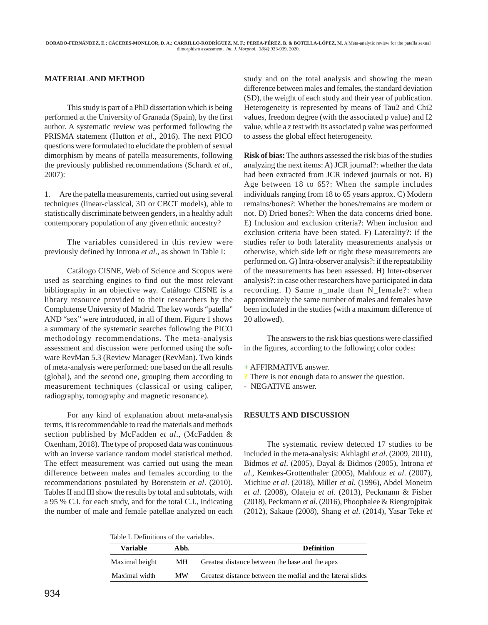## **MATERIAL AND METHOD**

This study is part of a PhD dissertation which is being performed at the University of Granada (Spain), by the first author. A systematic review was performed following the PRISMA statement (Hutton *et al*., 2016). The next PICO questions were formulated to elucidate the problem of sexual dimorphism by means of patella measurements, following the previously published recommendations (Schardt *et al*., 2007):

1. Are the patella measurements, carried out using several techniques (linear-classical, 3D or CBCT models), able to statistically discriminate between genders, in a healthy adult contemporary population of any given ethnic ancestry?

The variables considered in this review were previously defined by Introna *et al*., as shown in Table I:

Catálogo CISNE, Web of Science and Scopus were used as searching engines to find out the most relevant bibliography in an objective way. Catálogo CISNE is a library resource provided to their researchers by the Complutense University of Madrid. The key words "patella" AND "sex" were introduced, in all of them. Figure 1 shows a summary of the systematic searches following the PICO methodology recommendations. The meta-analysis assessment and discussion were performed using the software RevMan 5.3 (Review Manager (RevMan). Two kinds of meta-analysis were performed: one based on the all results (global), and the second one, grouping them according to measurement techniques (classical or using caliper, radiography, tomography and magnetic resonance).

For any kind of explanation about meta-analysis terms, it is recommendable to read the materials and methods section published by McFadden *et al*., (McFadden & Oxenham, 2018). The type of proposed data was continuous with an inverse variance random model statistical method. The effect measurement was carried out using the mean difference between males and females according to the recommendations postulated by Borenstein *et al*. (2010). Tables II and III show the results by total and subtotals, with a 95 % C.I. for each study, and for the total C.I., indicating the number of male and female patellae analyzed on each study and on the total analysis and showing the mean difference between males and females, the standard deviation (SD), the weight of each study and their year of publication. Heterogeneity is represented by means of Tau2 and Chi2 values, freedom degree (with the associated p value) and I2 value, while a z test with its associated p value was performed to assess the global effect heterogeneity.

**Risk of bias:** The authors assessed the risk bias of the studies analyzing the next items: A) JCR journal?: whether the data had been extracted from JCR indexed journals or not. B) Age between 18 to 65?: When the sample includes individuals ranging from 18 to 65 years approx. C) Modern remains/bones?: Whether the bones/remains are modern or not. D) Dried bones?: When the data concerns dried bone. E) Inclusion and exclusion criteria?: When inclusion and exclusion criteria have been stated. F) Laterality?: if the studies refer to both laterality measurements analysis or otherwise, which side left or right these measurements are performed on. G) Intra-observer analysis?: if the repeatability of the measurements has been assessed. H) Inter-observer analysis?: in case other researchers have participated in data recording. I) Same n\_male than N\_female?: when approximately the same number of males and females have been included in the studies (with a maximum difference of 20 allowed).

The answers to the risk bias questions were classified in the figures, according to the following color codes:

**+** AFFIRMATIVE answer.

**?** There is not enough data to answer the question.

**-** NEGATIVE answer.

## **RESULTS AND DISCUSSION**

The systematic review detected 17 studies to be included in the meta-analysis: Akhlaghi *et al*. (2009, 2010), Bidmos *et al*. (2005), Dayal & Bidmos (2005), Introna *et al*., Kemkes-Grottenthaler (2005), Mahfouz *et al*. (2007), Michiue *et al*. (2018), Miller *et al*. (1996), Abdel Moneim *et al*. (2008), Olateju *et al*. (2013), Peckmann & Fisher (2018), Peckmann *et al*. (2016), Phoophalee & Riengrojpitak (2012), Sakaue (2008), Shang *et al*. (2014), Yasar Teke *et*

Table I. Definitions of the variables.

| Variable       | A bh. | <b>Definition</b>                                           |  |  |  |  |  |  |
|----------------|-------|-------------------------------------------------------------|--|--|--|--|--|--|
| Maximal height | MН    | Greatest distance between the base and the apex             |  |  |  |  |  |  |
| Maximal width  | MW    | Greatest distance between the medial and the lateral slides |  |  |  |  |  |  |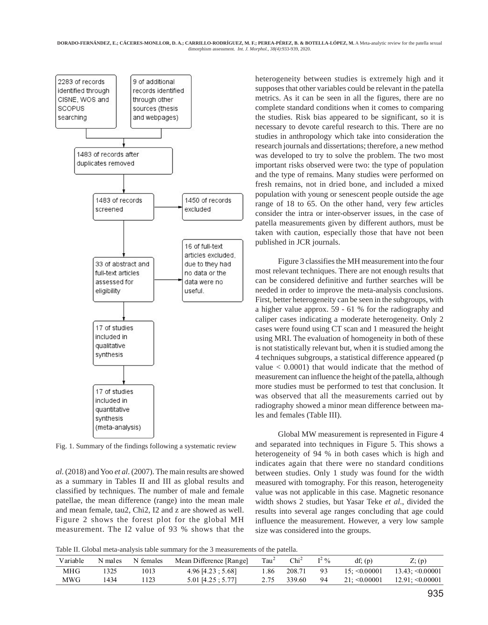

Fig. 1. Summary of the findings following a systematic review

*al*. (2018) and Yoo *et al*. (2007). The main results are showed as a summary in Tables II and III as global results and classified by techniques. The number of male and female patellae, the mean difference (range) into the mean male and mean female, tau2, Chi2, I2 and z are showed as well. Figure 2 shows the forest plot for the global MH measurement. The I2 value of 93 % shows that the

heterogeneity between studies is extremely high and it supposes that other variables could be relevant in the patella metrics. As it can be seen in all the figures, there are no complete standard conditions when it comes to comparing the studies. Risk bias appeared to be significant, so it is necessary to devote careful research to this. There are no studies in anthropology which take into consideration the research journals and dissertations; therefore, a new method was developed to try to solve the problem. The two most important risks observed were two: the type of population and the type of remains. Many studies were performed on fresh remains, not in dried bone, and included a mixed population with young or senescent people outside the age range of 18 to 65. On the other hand, very few articles consider the intra or inter-observer issues, in the case of patella measurements given by different authors, must be taken with caution, especially those that have not been published in JCR journals.

Figure 3 classifies the MH measurement into the four most relevant techniques. There are not enough results that can be considered definitive and further searches will be needed in order to improve the meta-analysis conclusions. First, better heterogeneity can be seen in the subgroups, with a higher value approx. 59 - 61 % for the radiography and caliper cases indicating a moderate heterogeneity. Only 2 cases were found using CT scan and 1 measured the height using MRI. The evaluation of homogeneity in both of these is not statistically relevant but, when it is studied among the 4 techniques subgroups, a statistical difference appeared (p value  $< 0.0001$ ) that would indicate that the method of measurement can influence the height of the patella, although more studies must be performed to test that conclusion. It was observed that all the measurements carried out by radiography showed a minor mean difference between males and females (Table III).

Global MW measurement is represented in Figure 4 and separated into techniques in Figure 5. This shows a heterogeneity of 94 % in both cases which is high and indicates again that there were no standard conditions between studies. Only 1 study was found for the width measured with tomography. For this reason, heterogeneity value was not applicable in this case. Magnetic resonance width shows 2 studies, but Yasar Teke *et al*., divided the results into several age ranges concluding that age could influence the measurement. However, a very low sample size was considered into the groups.

Table II. Global meta-analysis table summary for the 3 measurements of the patella.

| Variable | N males | N females | Mean Difference [Range] | Tau <sup>2</sup> | $Chi^2$ | $I^2$ % | df: (p)            | $Z$ ; (p)             |
|----------|---------|-----------|-------------------------|------------------|---------|---------|--------------------|-----------------------|
| MHG      |         | 1013      | $4.96$ [4.23; 5.68]     | 1.86             | 208.71  | 93      | $15: \leq 0.00001$ | $13.43: \leq 0.00001$ |
| MWG      | 1434    | 123       | $5.01$ [4.25; $5.77$ ]  | 2.75             | 339.60  | 94      | $21: \leq 0.00001$ | $12.91: \leq 0.00001$ |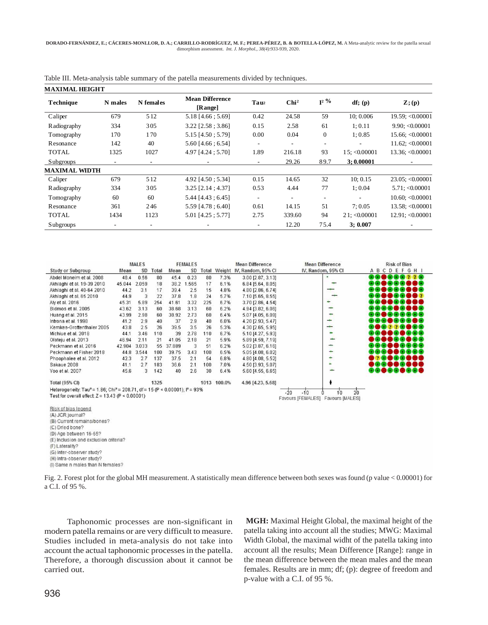| MAXIMAL HEIGHT     |                          |                          |                                   |                          |                  |                          |                    |                    |  |
|--------------------|--------------------------|--------------------------|-----------------------------------|--------------------------|------------------|--------------------------|--------------------|--------------------|--|
| <b>Technique</b>   | N males                  | N females                | <b>Mean Difference</b><br>[Range] | Tau <sub>2</sub>         | Chi <sup>2</sup> | $I^2$ %                  | df; (p)            | $\mathbf{Z}$ ; (p) |  |
| Caliper            | 679                      | 5 1 2                    | 5.18 [4.66; 5.69]                 | 0.42                     | 24.58            | 59                       | 10:0.006           | 19.59; <0.00001    |  |
| <b>Radiography</b> | 334                      | 305                      | $3.22$ [2.58 ; 3.86]              | 0.15                     | 2.58             | 61                       | 1:0.11             | 9.90; < 0.00001    |  |
| Tomography         | 170                      | 170                      | $5.15$ [4.50; 5.79]               | 0.00                     | 0.04             | $\mathbf{0}$             | 1:0.85             | 15.66; <0.00001    |  |
| Resonance          | 142                      | 40                       | $5.60$ [4.66; 6.54]               | ۰.                       | $\sim$           | $\overline{\phantom{a}}$ |                    | 11.62; < 0.00001   |  |
| TOTAL              | 1325                     | 1027                     | 4.97 [4.24 ; 5.70]                | 1.89                     | 216.18           | 93                       | $15: \leq 0.00001$ | $13.36$ ; <0.00001 |  |
| Subgroups          | $\sim$                   | $\overline{\phantom{a}}$ | $\overline{\phantom{a}}$          | $\overline{\phantom{a}}$ | 29.26            | 89.7                     | 3:0.00001          | $\sim$             |  |
| MAXIMAL WIDTH      |                          |                          |                                   |                          |                  |                          |                    |                    |  |
| Caliper            | 679                      | 512                      | 4.92 [4.50 ; 5.34]                | 0.15                     | 14.65            | 32                       | 10:0.15            | 23.05; < 0.00001   |  |
| <b>Radiography</b> | 334                      | 305                      | $3.25$ [2.14 ; 4.37]              | 0.53                     | 4.44             | 77                       | 1:0.04             | 5.71; < 0.00001    |  |
| Tomography         | 60                       | 60                       | $5.44$ [4.43 ; 6.45]              | $\overline{a}$           | ٠                | ۰                        |                    | 10.60; < 0.00001   |  |
| Resonance          | 361                      | 246                      | 5.59 [4.78; 6.40]                 | 0.61                     | 14.15            | 51                       | 7:0.05             | $13.58$ ; <0.00001 |  |
| TOTAL              | 1434                     | 1123                     | 5.01 [4.25; 5.77]                 | 2.75                     | 339.60           | 94                       | 21: 0.00001        | 12.91; < 0.00001   |  |
| <b>Subgroups</b>   | $\overline{\phantom{a}}$ |                          |                                   | ٠                        | 12.20            | 75.4                     | 3:0.007            |                    |  |

Table III. Meta-analysis table summary of the patella measurements divided by techniques.



(H) Intra-observer study?

(I) Same n males than N females?

Fig. 2. Forest plot for the global MH measurement. A statistically mean difference between both sexes was found (p value < 0.00001) for a C.I. of 95 %.

Taphonomic processes are non-significant in modern patella remains or are very difficult to measure. Studies included in meta-analysis do not take into account the actual taphonomic processes in the patella. Therefore, a thorough discussion about it cannot be carried out.

**MGH:** Maximal Height Global, the maximal height of the patella taking into account all the studies; MWG: Maximal Width Global, the maximal widht of the patella taking into account all the results; Mean Difference [Range]: range in the mean difference between the mean males and the mean females. Results are in mm; df; (p): degree of freedom and p-value with a C.I. of 95 %.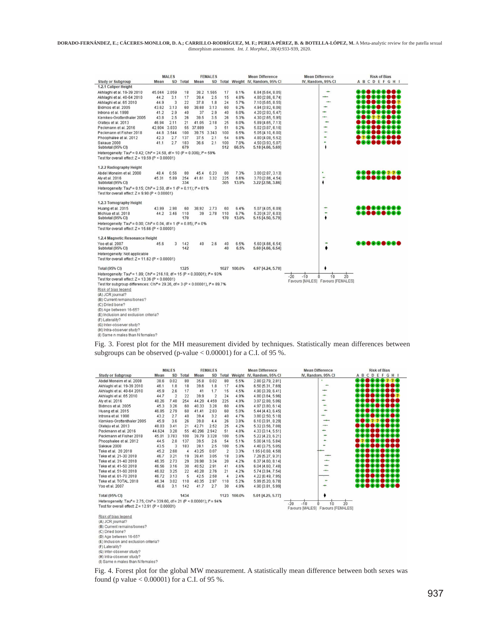|                                                                                                                                                                      |              | <b>MALES</b> |            |        | <b>FEMALES</b> |            |               | <b>Mean Difference</b>                 | <b>Mean Difference</b> |                                                | <b>Risk of Bias</b> |
|----------------------------------------------------------------------------------------------------------------------------------------------------------------------|--------------|--------------|------------|--------|----------------|------------|---------------|----------------------------------------|------------------------|------------------------------------------------|---------------------|
| <b>Study or Subgroup</b>                                                                                                                                             | Mean         |              | SD Total   | Mean   |                |            |               | SD Total Weight IV, Random, 95% CI     | IV, Random, 95% CI     |                                                | <b>ABCDEFGHI</b>    |
| 1.2.1 Caliper Height                                                                                                                                                 |              |              |            |        |                |            |               |                                        |                        |                                                |                     |
| Akhlaghi et al. 19-39 2010                                                                                                                                           | 45.044 2.059 |              | 18         |        | 38.2 1.565     | 17         | 6.1%          | 6.84 [5.64, 8.05]                      |                        | ÷                                              | @@@@@@@@            |
| Akhlaghi et al. 40-64 2010                                                                                                                                           | 44.2         | 3.1          | 17         | 39.4   | 2.5            | 15         | 4.8%          | 4.80 [2.86, 6.74]                      |                        |                                                | <b>DGOGOGOG</b>     |
| Akhlaghi et al. 65 2010                                                                                                                                              | 44.9         | 3            | 22         | 37.8   | 1.8            | 24         | 5.7%          | 7.10 [5.65, 8.55]                      |                        | ۰                                              | 86 <b>86</b> 6687   |
| Bidmos et al. 2005                                                                                                                                                   | 43.62        | 3.13         | 60         | 38.68  | 3.13           | 60         | 6.2%          | 4.94 [3.82, 6.06]                      |                        | ÷                                              | <b></b>             |
| Introna et al. 1998                                                                                                                                                  | 41.2         | 2.9          | 40         | 37     | 2.9            | 40         | 6.0%          | 4.20 [2.93, 5.47]                      |                        | ÷                                              | <b>₽®®●®®®</b>      |
| Kemkes-Grottenthaler 2005                                                                                                                                            | 43.8         | 2.5          | 26         | 39.5   | 3.5            | 26         | 5.3%          | 4.30 [2.65, 5.95]                      |                        | ÷                                              |                     |
| Olateju et al. 2013                                                                                                                                                  | 46.94        | 2.11         | 21         | 41.05  | 2.18           | 25         | 6.0%          | 5.89 [4.65, 7.13]                      |                        | ٠                                              | ,                   |
| Peckmann et al. 2016                                                                                                                                                 | 42.904 3.033 |              | 55         | 37.889 | 3              | 51         | 6.2%          | 5.02 [3.87, 6.16]                      |                        | ÷                                              | ,,,,,,,,,           |
| Peckmann et Fisher 2018                                                                                                                                              |              | 44.8 3.544   | 100        |        | 39.75 3.343    | 100        | 6.5%          | 5.05 [4.10, 6.00]                      |                        | ÷                                              | <b>DOOOOOOOO</b>    |
| Phoophalee et al. 2012                                                                                                                                               | 42.3         | 2.7          | 137        | 37.5   | 2.1            | 54         | 6.8%          | 4.80 [4.08, 5.52]                      |                        | ٠                                              | ,,,,,,,,,           |
| Sakaue 2008<br>Subtotal (95% CI)                                                                                                                                     | 41.1         | 2.7          | 183<br>679 | 36.6   | 2.1            | 100<br>512 | 7.0%<br>66.5% | 4.50 [3.93, 5.07]<br>5.18 [4.66, 5.69] |                        | ÷.<br>۰                                        | ,0088081            |
| Heterogeneity: Tau <sup>2</sup> = 0.42; Chi <sup>2</sup> = 24.58, df = 10 (P = 0.006); l <sup>2</sup> = 59%                                                          |              |              |            |        |                |            |               |                                        |                        |                                                |                     |
| Test for overall effect: $Z = 19.59$ (P < 0.00001)                                                                                                                   |              |              |            |        |                |            |               |                                        |                        |                                                |                     |
| 1.2.2 Radiography Height                                                                                                                                             |              |              |            |        |                |            |               |                                        |                        |                                                |                     |
| Abdel Moneim et al. 2008                                                                                                                                             | 48.4         | 0.56         | 80         | 45.4   | 0.23           | 80         | 7.3%          | 3.00 [2.87, 3.13]                      |                        |                                                |                     |
| Aly et al. 2016<br>Subtotal (95% CI)                                                                                                                                 | 45.31        | 5.89         | 254<br>334 | 41.61  | 3.32           | 225<br>305 | 6.6%<br>13.9% | 3.70 [2.86, 4.54]<br>3.22 [2.58, 3.86] |                        | ٠<br>۰                                         | 88 <b>8888888</b>   |
| Heterogeneity: Tau <sup>2</sup> = 0.15; Chi <sup>2</sup> = 2.58, df = 1 (P = 0.11); $I^2$ = 61%<br>Test for overall effect: $Z = 9.90$ (P < 0.00001)                 |              |              |            |        |                |            |               |                                        |                        |                                                |                     |
| 1.2.3 Tomography Height                                                                                                                                              |              |              |            |        |                |            |               |                                        |                        |                                                |                     |
| Huang et al. 2015                                                                                                                                                    | 43.99        | 2.98         | 60         | 38.92  | 2.73           | 60         | 6.4%          | 5.07 [4.05, 6.09]                      |                        |                                                | <b></b>             |
| Michiue et al. 2018<br>Subtotal (95% CI)                                                                                                                             | 44.2         | 3.46         | 110<br>170 | 39     | 2.78           | 110<br>170 | 6.7%<br>13.0% | 5.20 [4.37, 6.03]<br>5.15 [4.50, 5.79] |                        | ٠                                              | ,,,,,,,,,           |
| Heterogeneity: Tau <sup>2</sup> = 0.00; Chi <sup>2</sup> = 0.04, df = 1 (P = 0.85); $P = 0\%$<br>Test for overall effect: $Z = 15.66$ (P < 0.00001)                  |              |              |            |        |                |            |               |                                        |                        |                                                |                     |
| 1.2.4 Magnetic Resonance Height                                                                                                                                      |              |              |            |        |                |            |               |                                        |                        |                                                |                     |
| Yoo et al. 2007<br>Subtotal (95% CI)                                                                                                                                 | 45.6         | 3            | 142<br>142 | 40     | 2.6            | 40<br>40   | 6.5%<br>6.5%  | 5.60 [4.66, 6.54]<br>5.60 [4.66, 6.54] |                        | ٠                                              | <b>.</b>            |
| Heterogeneity: Not applicable<br>Test for overall effect: $Z = 11.62$ (P < 0.00001)                                                                                  |              |              |            |        |                |            |               |                                        |                        |                                                |                     |
| <b>Total (95% CI)</b>                                                                                                                                                |              |              | 1325       |        |                |            | 1027 100.0%   | 4.97 [4.24, 5.70]                      |                        |                                                |                     |
| Heterogeneity: Tau <sup>2</sup> = 1.89; Chi <sup>2</sup> = 216.18, df = 15 (P < 0.00001); l <sup>2</sup> = 93%<br>Test for overall effect: $Z = 13.36$ (P < 0.00001) |              |              |            |        |                |            |               |                                        | $-10$<br>$-20$<br>ń    | 2'n<br>1n<br>Favours [MALES] Favours [FEMALES] |                     |
| Test for subgroup differences: Chi <sup>2</sup> = 29.26, df = 3 (P < 0.00001), $P = 89.7%$<br>Risk of bias legend                                                    |              |              |            |        |                |            |               |                                        |                        |                                                |                     |
| (A) JCR journal?                                                                                                                                                     |              |              |            |        |                |            |               |                                        |                        |                                                |                     |
| (B) Current remains/bones?                                                                                                                                           |              |              |            |        |                |            |               |                                        |                        |                                                |                     |
|                                                                                                                                                                      |              |              |            |        |                |            |               |                                        |                        |                                                |                     |
| (C) Dried bone?<br>(D) Age between 16-65?                                                                                                                            |              |              |            |        |                |            |               |                                        |                        |                                                |                     |
| (E) Inclusion and exclusion criteria?                                                                                                                                |              |              |            |        |                |            |               |                                        |                        |                                                |                     |
| (F) Laterality?                                                                                                                                                      |              |              |            |        |                |            |               |                                        |                        |                                                |                     |
| (G) Inter-observer study?                                                                                                                                            |              |              |            |        |                |            |               |                                        |                        |                                                |                     |
| (H) Intra-observer study?                                                                                                                                            |              |              |            |        |                |            |               |                                        |                        |                                                |                     |
| (I) Same n males than N females?                                                                                                                                     |              |              |            |        |                |            |               |                                        |                        |                                                |                     |
|                                                                                                                                                                      |              |              |            |        |                |            |               |                                        |                        |                                                |                     |

Fig. 3. Forest plot for the MH measurement divided by techniques. Statistically mean differences between subgroups can be observed (p-value < 0.00001) for a C.I. of 95 %.

|                                                                                                      | <b>MALES</b> |                |          | <b>FEMALES</b> |                |                | <b>Mean Difference</b> |                           | <b>Mean Difference</b>                                    | <b>Risk of Bias</b>                                                     |
|------------------------------------------------------------------------------------------------------|--------------|----------------|----------|----------------|----------------|----------------|------------------------|---------------------------|-----------------------------------------------------------|-------------------------------------------------------------------------|
| <b>Study or Subgroup</b>                                                                             | Mean         |                | SD Total | Mean           |                | SD Total       |                        | Weight IV, Random, 95% CI | IV, Random, 95% CI                                        | <b>ABCDEFGHI</b>                                                        |
| Abdel Moneim et al. 2008                                                                             | 38.6         | 0.02           | 80       | 35.8           | 0.02           | 80             | 5.5%                   | 2.80 [2.79, 2.81]         | ٠                                                         | 800 <u>220</u><br>- 6                                                   |
| Akhlaghi et al. 19-39 2010                                                                           | 46.1         | 1.8            | 18       | 39.6           | 1.8            | 17             | 4.8%                   | 6.50 [5.31, 7.69]         |                                                           | $-1$ $-1$                                                               |
| Akhlaghi et al. 40-64 2010                                                                           | 45.9         | 2.6            | 17       | 41             | 1.7            | 15             | 4.5%                   | 4.90 [3.39, 6.41]         | ÷                                                         | $-1-6$<br>$-1 - 1 - 1$                                                  |
| Akhlaghi et al. 65 2010                                                                              | 44.7         | $\overline{2}$ | 22       | 39.9           | $\overline{2}$ | 24             | 4.9%                   | 4.80 [3.64, 5.96]         | ÷                                                         | $\mathbf{I}$ . $\mathbf{I}$                                             |
| Aly et al. 2016                                                                                      | 48.26        | 7.48           | 254      | 44.29          | 4.459          | 225            | 4.9%                   | 3.97 [2.88, 5.06]         | ÷                                                         |                                                                         |
| Bidmos et al. 2005                                                                                   | 45.3         | 3.26           | 60       | 40.33          | 3.28           | 60             | 4.8%                   | 4.97 [3.80, 6.14]         | ÷                                                         |                                                                         |
| Huang et al. 2015                                                                                    | 46.85        | 2.79           | 60       | 41.41          | 2.83           | 60             | 5.0%                   | 5.44 [4.43, 6.45]         |                                                           | GO (4)                                                                  |
| Introna et al. 1998                                                                                  | 43.2         | 2.7            | 40       | 39.4           | 3.2            | 40             | 4.7%                   | 3.80 [2.50, 5.10]         | ÷                                                         | <b>.</b>                                                                |
| Kemkes-Grottenthaler 2005                                                                            | 45.9         | 3.6            | 26       | 39.8           | 4.4            | 26             | 3.8%                   | 6.10 [3.91, 8.29]         | -                                                         | <b>220</b><br>$\blacksquare$                                            |
| Olateiu et al. 2013                                                                                  | 48.03        | 3.41           | 21       | 42.71          | 2.52           | 25             | 4.2%                   | 5.32 [3.56, 7.08]         | -                                                         | $\sim$ 100 $\sim$<br>$+1+1+1$                                           |
| Peckmann et al. 2016                                                                                 | 44.624       | 3.28           | 55       | 40.296         | 2.942          | 51             | 4.8%                   | 4.33 [3.14, 5.51]         | -                                                         |                                                                         |
| Peckmann et Fisher 2018                                                                              | 45.01        | 3.783          | 100      | 39.79          | 3.328          | 100            | 5.0%                   | 5.22 [4.23, 6.21]         | ۰                                                         | Gal Cal                                                                 |
| Phoophalee et al. 2012                                                                               | 44.5         | 2.8            | 137      | 39.5           | 2.6            | 54             | 5.1%                   | 5.00 [4.16, 5.84]         |                                                           | -1000-100                                                               |
| Sakaue 2008                                                                                          | 43.5         | 3              | 183      | 39.1           | 2.5            | 100            | 5.3%                   | 4.40 [3.75, 5.05]         |                                                           |                                                                         |
| Teke et al. 20 2018                                                                                  | 45.2         | 2.68           | 4        | 43.25          | 0.07           | $\overline{2}$ | 3.3%                   | 1.95 [-0.68, 4.58]        |                                                           | മൈത<br>$+1 - 1$                                                         |
| Teke et al. 21-30 2018                                                                               | 46.7         | 3.21           | 19       | 39.41          | 3.05           | 18             | 3.9%                   | 7.29 [5.27, 9.31]         |                                                           | $\blacksquare$ $\blacksquare$ $\blacksquare$ $\blacksquare$<br>$-1+1+1$ |
| Teke et al. 31-40 2018                                                                               | 46.35        | 2.73           | 29       | 39.98          | 3.34           | 20             | 4.2%                   | 6.37 [4.60, 8.14]         |                                                           | $+14$                                                                   |
| Teke et al. 41-50 2018                                                                               | 46.56        | 3.16           | 30       | 40.52          | 2.91           | 41             | 4.6%                   | 6.04 [4.60, 7.48]         |                                                           | $(4)$ $(4)$                                                             |
| Teke et al. 51-60 2018                                                                               | 46.02        | 3.25           | 22       | 40.28          | 2.76           | 21             | 4.2%                   | 5.74 [3.94, 7.54]         | ÷                                                         | $+1$ ( $+1$ ) ( $+1$ ) ( $+1$ ) ( $+1$ ) ( $+1$                         |
| Teke et al. 61-70 2018                                                                               | 46.72        | 3.13           | 5        | 42.5           | 2.58           | 4              | 2.4%                   | 4.22 [0.49, 7.95]         |                                                           | 90 <b>00</b> 00000                                                      |
| Teke et al. TOTAL 2018                                                                               | 46.34        | 3.02           | 110      | 40.35          | 2.97           | 110            | 5.2%                   | 5.99 [5.20, 6.78]         | ۰                                                         | 88 <b>888888</b>                                                        |
| Yoo et al. 2007                                                                                      | 46.6         | 3.1            | 142      | 41.7           | 2.7            | 30             | 4.9%                   | 4.90 [3.81, 5.99]         |                                                           | 88 <b>888 889 8</b>                                                     |
| <b>Total (95% CI)</b>                                                                                |              |                | 1434     |                |                |                | 1123 100.0%            | 5.01 [4.25, 5.77]         |                                                           |                                                                         |
| Heterogeneity: Tau <sup>2</sup> = 2.75; Chi <sup>2</sup> = 339.60, df = 21 (P < 0.00001); $P = 94\%$ |              |                |          |                |                |                |                        |                           | 2n                                                        |                                                                         |
| Test for overall effect: $Z = 12.91$ (P < 0.00001)                                                   |              |                |          |                |                |                |                        |                           | $-10$<br>1n<br>$-20$<br>Favours [MALES] Favours [FEMALES] |                                                                         |
|                                                                                                      |              |                |          |                |                |                |                        |                           |                                                           |                                                                         |
| Risk of bias legend                                                                                  |              |                |          |                |                |                |                        |                           |                                                           |                                                                         |
| (A) JCR journal?                                                                                     |              |                |          |                |                |                |                        |                           |                                                           |                                                                         |

(A) JCR journal?<br>
(B) CR journal remains/bones?<br>
(C) Dried bone?<br>
(D) Age between 16-55?<br>
(D) Age between 16-55?<br>
(E) Inclusion and exclusion criteria?<br>
(G) Inter-observer study?<br>
(II) Intra-observer study?<br>
(I) Same n mal

Fig. 4. Forest plot for the global MW measurement. A statistically mean difference between both sexes was found (p value < 0.00001) for a C.I. of 95 %.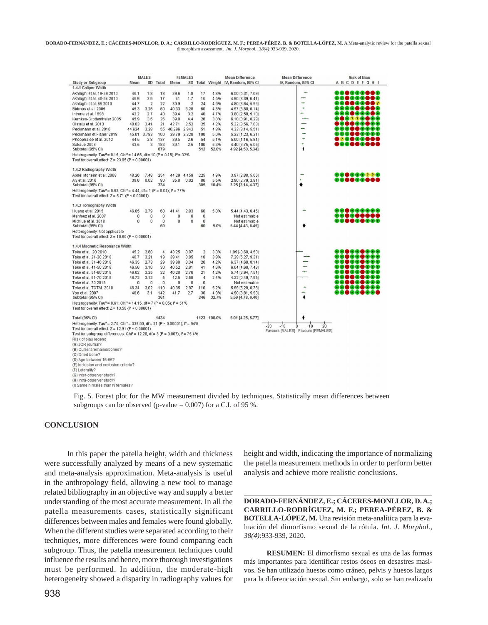|                                                                                                                                                           | <b>MALES</b> |                |            | <b>FEMALES</b> |                |                |               | <b>Mean Difference</b>                 | <b>Mean Difference</b>                  | <b>Risk of Bias</b> |
|-----------------------------------------------------------------------------------------------------------------------------------------------------------|--------------|----------------|------------|----------------|----------------|----------------|---------------|----------------------------------------|-----------------------------------------|---------------------|
| <b>Study or Subgroup</b>                                                                                                                                  | Mean         |                | SD Total   | Mean           |                |                |               | SD Total Weight IV, Random, 95% CI     | IV, Random, 95% CI                      | <b>ABCDEFGHI</b>    |
| 1.4.1 Caliper Width                                                                                                                                       |              |                |            |                |                |                |               |                                        |                                         |                     |
| Akhlaghi et al. 19-39 2010                                                                                                                                | 46.1         | 1.8            | 18         | 39.6           | 1.8            | 17             | 4.8%          | 6.50 [5.31, 7.69]                      | ÷                                       | @@@@@@ <b>@</b> @   |
| Akhlaghi et al. 40-64 2010                                                                                                                                | 45.9         | 2.6            | 17         | 41             | 1.7            | 15             | 4.5%          | 4.90 [3.39, 6.41]                      | -                                       | <b></b>             |
| Akhlaghi et al. 65 2010                                                                                                                                   | 44.7         | $\overline{2}$ | 22         | 39.9           | $\overline{2}$ | 24             | 4.9%          | 4.80 [3.64, 5.96]                      | ٠                                       | RG <b>ogooc</b> a?  |
| Bidmos et al. 2005                                                                                                                                        | 45.3         | 3.26           | 60         | 40.33          | 3.28           | 60             | 4.8%          | 4.97 [3.80, 6.14]                      | ÷                                       | ,                   |
| Introna et al. 1998                                                                                                                                       | 43.2         | 2.7            | 40         | 39.4           | 3.2            | 40             | 4.7%          | 3.80 [2.50, 5.10]                      |                                         | }@@●©@@             |
| Kemkes-Grottenthaler 2005                                                                                                                                 | 45.9         | 3.6            | 26         | 39.8           | 4.4            | 26             | 3.8%          | 6.10 [3.91, 8.29]                      |                                         | .                   |
| Olateju et al. 2013                                                                                                                                       | 48.03        | 3.41           | 21         | 42.71          | 2.52           | 25             | 4.2%          | 5.32 [3.56, 7.08]                      | ÷                                       | ,00000000           |
| Peckmann et al. 2016                                                                                                                                      | 44.624       | 3.28           | 55         | 40.296         | 2.942          | 51             | 4.8%          | 4.33 [3.14, 5.51]                      | ÷                                       | ,,,,,,,,,           |
| Peckmann et Fisher 2018                                                                                                                                   | 45.01        | 3.783          | 100        | 39.79          | 3.328          | 100            | 5.0%          | 5.22 [4.23, 6.21]                      | ۰<br>٠                                  | , <del></del>       |
| Phoophalee et al. 2012                                                                                                                                    | 44.5         | 2.8            | 137        | 39.5           | 2.6            | 54             | 5.1%          | 5.00 [4.16, 5.84]                      |                                         | ,,,,,,,,,           |
| Sakaue 2008<br>Subtotal (95% CI)                                                                                                                          | 43.5         | 3              | 183<br>679 | 39.1           | 2.5            | 100<br>512     | 5.3%<br>52.0% | 4.40 [3.75, 5.05]<br>4.92 [4.50, 5.34] | ٠<br>۱                                  | 80 <b>88</b> 88     |
| Heterogeneity: Tau <sup>2</sup> = 0.15; Chi <sup>2</sup> = 14.65, df = 10 (P = 0.15); $P = 32\%$                                                          |              |                |            |                |                |                |               |                                        |                                         |                     |
| Test for overall effect: $Z = 23.05$ (P < 0.00001)                                                                                                        |              |                |            |                |                |                |               |                                        |                                         |                     |
| 1.4.2 Radiography Width                                                                                                                                   |              |                |            |                |                |                |               |                                        |                                         |                     |
| Abdel Moneim et al. 2008                                                                                                                                  | 48.26        | 7.48           | 254        | 44.29 4.459    |                | 225            | 4.9%          | 3.97 [2.88, 5.06]                      |                                         | <u>.</u>            |
| Aly et al. 2016                                                                                                                                           | 38.6         | 0.02           | 80         | 35.8           | 0.02           | 80             | 5.5%          | 2.80 [2.79, 2.81]                      |                                         | .                   |
| Subtotal (95% CI)                                                                                                                                         |              |                | 334        |                |                | 305            | 10.4%         | 3.25 [2.14, 4.37]                      |                                         |                     |
| Heterogeneity: Tau <sup>2</sup> = 0.53; Chi <sup>2</sup> = 4.44, df = 1 (P = 0.04); $P = 77\%$                                                            |              |                |            |                |                |                |               |                                        |                                         |                     |
| Test for overall effect: $Z = 5.71$ (P < 0.00001)                                                                                                         |              |                |            |                |                |                |               |                                        |                                         |                     |
|                                                                                                                                                           |              |                |            |                |                |                |               |                                        |                                         |                     |
| 1.4.3 Tomography Width                                                                                                                                    |              |                |            |                |                |                |               |                                        |                                         |                     |
| Huang et al. 2015                                                                                                                                         | 46.85        | 2.79           | 60         | 41.41          | 2.83           | 60             | 5.0%          | 5.44 [4.43, 6.45]                      |                                         | , <b></b>           |
| Mahfouz et al. 2007                                                                                                                                       | 0            | 0              | $\theta$   | 0              | 0              | $\bf{0}$       |               | Not estimable                          |                                         | .                   |
| Michiue et al. 2018                                                                                                                                       | $\mathbf{0}$ | 0              | $\theta$   | 0              | $\bf{0}$       | 0              |               | Not estimable                          |                                         | ,                   |
| Subtotal (95% CI)                                                                                                                                         |              |                | 60         |                |                | 60             | 5.0%          | 5.44 [4.43, 6.45]                      |                                         |                     |
| Heterogeneity: Not applicable                                                                                                                             |              |                |            |                |                |                |               |                                        |                                         |                     |
| Test for overall effect: $Z = 10.60$ (P < 0.00001)                                                                                                        |              |                |            |                |                |                |               |                                        |                                         |                     |
| 1.4.4 Magnetic Resonance Width                                                                                                                            |              |                |            |                |                |                |               |                                        |                                         |                     |
| Teke et al. 20 2018                                                                                                                                       | 45.2         | 2.68           | 4          | 43.25          | 0.07           | $\overline{2}$ | 3.3%          | 1.95 [-0.68, 4.58]                     |                                         | ,,,,,,,,,           |
| Teke et al. 21-30 2018                                                                                                                                    | 46.7         | 3.21           | 19         | 39.41          | 3.05           | 18             | 3.9%          | 7.29 [5.27, 9.31]                      |                                         | , <b></b>           |
| Teke et al. 31-40 2018                                                                                                                                    | 46.35        | 2.73           | 29         | 39.98          | 3.34           | 20             | 4.2%          | 6.37 [4.60, 8.14]                      |                                         | ,                   |
| Teke et al. 41-50 2018                                                                                                                                    | 46.56        | 3.16           | 30         | 40.52          | 2.91           | 41             | 4.6%          | 6.04 [4.60, 7.48]                      | ÷                                       | ,00000000           |
| Teke et al. 51-60 2018                                                                                                                                    | 46.02        | 3.25           | 22         | 40.28          | 2.76           | 21             | 4.2%          | 5.74 [3.94, 7.54]                      | ÷                                       | ,⊕●●⊕●●⊕®           |
| Teke et al. 61-70 2018                                                                                                                                    | 46.72        | 3.13           | 5          | 42.5           | 2.58           | 4              | 2.4%          | 4.22 [0.49, 7.95]                      |                                         | 19 <b>8999</b> 998  |
| Teke et al. 70 2018                                                                                                                                       | 0            | $\bf{0}$       | $\theta$   | 0              | $\theta$       | 0              |               | Not estimable                          |                                         | ,                   |
| Teke et al. TOTAL 2018                                                                                                                                    | 46.34        | 3.02           | 110        | 40.35          | 2.97           | 110            | 5.2%          | 5.99 [5.20, 6.78]                      |                                         | ,                   |
| Yoo et al. 2007                                                                                                                                           | 46.6         | 3.1            | 142        | 41.7           | 2.7            | 30             | 4.9%          | 4.90 [3.81, 5.99]                      |                                         | 1000000             |
| Subtotal (95% CI)                                                                                                                                         |              |                | 361        |                |                | 246            | 32.7%         | 5.59 [4.78, 6.40]                      |                                         |                     |
| Heterogeneity: Tau <sup>2</sup> = 0.61; Chi <sup>2</sup> = 14.15, df = 7 (P = 0.05); $P = 51\%$                                                           |              |                |            |                |                |                |               |                                        |                                         |                     |
| Test for overall effect: $Z = 13.58$ (P < 0.00001)                                                                                                        |              |                |            |                |                |                |               |                                        |                                         |                     |
|                                                                                                                                                           |              |                | 1434       |                |                |                | 1123 100.0%   | 5.01 [4.25, 5.77]                      |                                         |                     |
| Total (95% CI)                                                                                                                                            |              |                |            |                |                |                |               |                                        |                                         |                     |
| Heterogeneity: Tau <sup>2</sup> = 2.75; Chi <sup>2</sup> = 339.60, df = 21 (P < 0.00001); i <sup>2</sup> = 94%                                            |              |                |            |                |                |                |               |                                        | $-10$<br>$\dot{20}$<br>$-20$<br>Ô<br>10 |                     |
| Test for overall effect: $Z = 12.91$ (P < 0.00001)<br>Test for subgroup differences: Chi <sup>2</sup> = 12.20, df = 3 (P = 0.007), l <sup>2</sup> = 75.4% |              |                |            |                |                |                |               |                                        | Favours [MALES] Favours [FEMALES]       |                     |
|                                                                                                                                                           |              |                |            |                |                |                |               |                                        |                                         |                     |
| Risk of bias legend<br>(A) JCR journal?                                                                                                                   |              |                |            |                |                |                |               |                                        |                                         |                     |
| (B) Current remains/bones?                                                                                                                                |              |                |            |                |                |                |               |                                        |                                         |                     |
| (C) Dried bone?                                                                                                                                           |              |                |            |                |                |                |               |                                        |                                         |                     |
| (D) Age between 16-65?                                                                                                                                    |              |                |            |                |                |                |               |                                        |                                         |                     |
| (E) Inclusion and exclusion criteria?                                                                                                                     |              |                |            |                |                |                |               |                                        |                                         |                     |
| (F) Laterality?                                                                                                                                           |              |                |            |                |                |                |               |                                        |                                         |                     |
| (G) Inter-observer study?                                                                                                                                 |              |                |            |                |                |                |               |                                        |                                         |                     |
| (H) Intra-observer study?                                                                                                                                 |              |                |            |                |                |                |               |                                        |                                         |                     |
| (I) Same n males than N females?                                                                                                                          |              |                |            |                |                |                |               |                                        |                                         |                     |

Fig. 5. Forest plot for the MW measurement divided by techniques. Statistically mean differences between subgroups can be observed (p-value = 0.007) for a C.I. of 95 %.

## **CONCLUSION**

In this paper the patella height, width and thickness were successfully analyzed by means of a new systematic and meta-analysis approximation. Meta-analysis is useful in the anthropology field, allowing a new tool to manage related bibliography in an objective way and supply a better understanding of the most accurate measurement. In all the patella measurements cases, statistically significant differences between males and females were found globally. When the different studies were separated according to their techniques, more differences were found comparing each subgroup. Thus, the patella measurement techniques could influence the results and hence, more thorough investigations must be performed. In addition, the moderate-high heterogeneity showed a disparity in radiography values for

height and width, indicating the importance of normalizing the patella measurement methods in order to perform better analysis and achieve more realistic conclusions.

**DORADO-FERNÁNDEZ, E.; CÁCERES-MONLLOR, D. A.; CARRILLO-RODRÍGUEZ, M. F.; PEREA-PÉREZ, B. & BOTELLA-LÓPEZ, M.** Una revisión meta-analítica para la evaluación del dimorfismo sexual de la rótula. *Int. J. Morphol., 38(4)*:933-939, 2020.

**RESUMEN:** El dimorfismo sexual es una de las formas más importantes para identificar restos óseos en desastres masivos. Se han utilizado huesos como cráneo, pelvis y huesos largos para la diferenciación sexual. Sin embargo, solo se han realizado